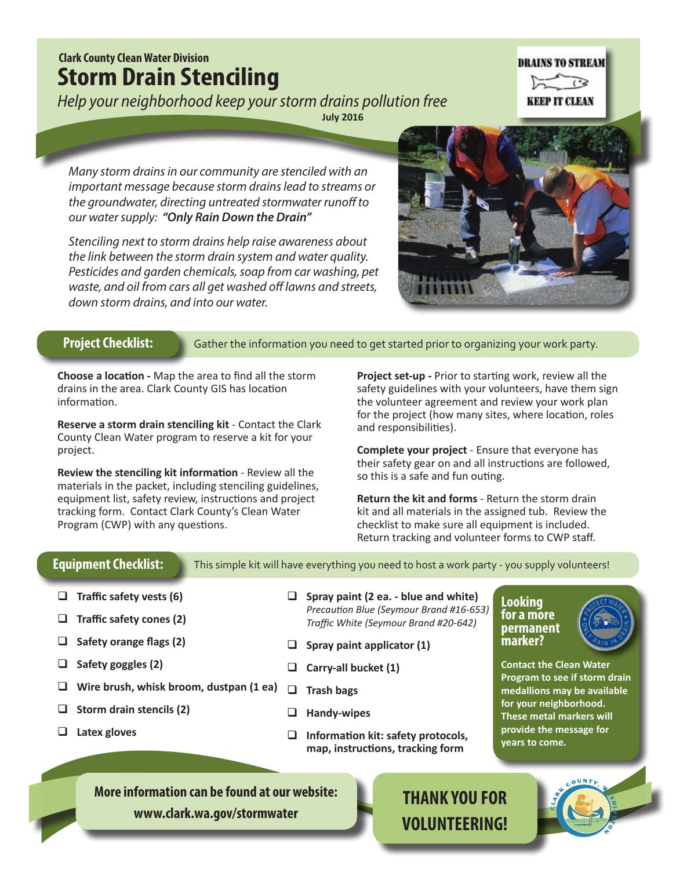# **Clark County Clean Water Division Storm Drain Stenciling**

*Help your neighborhood keep your storm drains pollution free*

**July 2016**

**DRAINS TO STREAM**  $\widehat{\cdots}$ **KEEP IT CLEAN** 

*Many storm drains in our community are stenciled with an important message because storm drains lead to streams or the groundwater, directing untreated stormwater runoff to our water supply: "Only Rain Down the Drain"*

*Stenciling next to storm drains help raise awareness about the link between the storm drain system and water quality. Pesticides and garden chemicals, soap from car washing, pet waste, and oil from cars all get washed off lawns and streets, down storm drains, and into our water.*



## **Project Checklist:**

Gather the information you need to get started prior to organizing your work party.

**Choose a location -** Map the area to find all the storm drains in the area. Clark County GIS has location information.

**Reserve a storm drain stenciling kit** - Contact the Clark County Clean Water program to reserve a kit for your project.

**Review the stenciling kit information** - Review all the materials in the packet, including stenciling guidelines, equipment list, safety review, instructions and project tracking form. Contact Clark County's Clean Water Program (CWP) with any questions.

**Project set-up -** Prior to starting work, review all the safety guidelines with your volunteers, have them sign the volunteer agreement and review your work plan for the project (how many sites, where location, roles and responsibilities).

**Complete your project** - Ensure that everyone has their safety gear on and all instructions are followed, so this is a safe and fun outing.

**Return the kit and forms** - Return the storm drain kit and all materials in the assigned tub. Review the checklist to make sure all equipment is included. Return tracking and volunteer forms to CWP staff.

## **Equipment Checklist:**

This simple kit will have everything you need to host a work party - you supply volunteers!

- **Traffic safety vests (6)**
- **Traffic safety cones (2)**
- **Safety orange flags (2)**
- **Safety goggles (2)**
- **Wire brush, whisk broom, dustpan (1 ea) Trash bags**
- **Storm drain stencils (2)**
- **Latex gloves**

- **Spray paint (2 ea. blue and white)** *Precaution Blue (Seymour Brand #16-653) Traffic White (Seymour Brand #20-642)*
- **Spray paint applicator (1)**
- **Carry-all bucket (1)**
	-
- **Handy-wipes**
- **Information kit: safety protocols, map, instructions, tracking form**

### **Looking for a more permanent marker?**



**Contact the Clean Water Program to see if storm drain medallions may be available for your neighborhood. These metal markers will provide the message for years to come.**

**More information can be found at our website: [www.clark.wa.gov/](http://www.clark.wa.gov/legacylands/index.html)stormwater**

# **THANK YOU FOR VOLUNTEERING!**